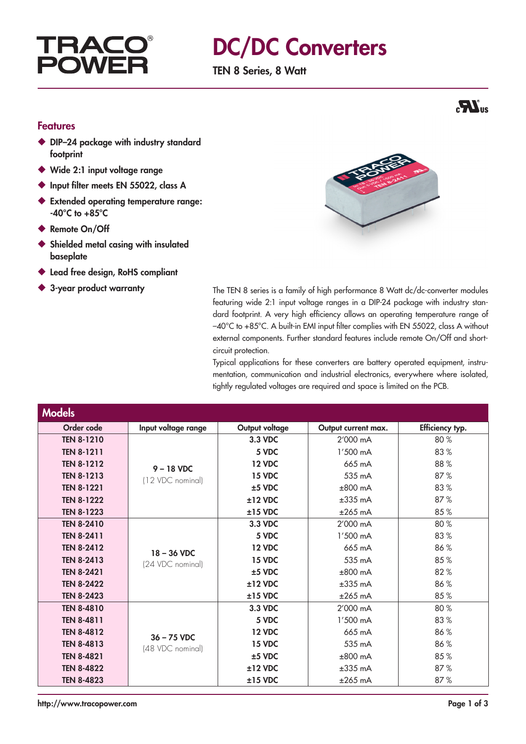## **TRAC POW**

# DC/DC Converters

TEN 8 Series, 8 Watt



#### Features

- ◆ DIP-24 package with industry standard footprint
- ◆ Wide 2:1 input voltage range
- Input filter meets EN 55022, class A
- ◆ Extended operating temperature range:  $-40^{\circ}$ C to  $+85^{\circ}$ C
- ◆ Remote On/Off
- ◆ Shielded metal casing with insulated baseplate
- ◆ Lead free design, RoHS compliant
- 



◆ 3-year product warranty The TEN 8 series is a family of high performance 8 Watt dc/dc-converter modules featuring wide 2:1 input voltage ranges in a DIP-24 package with industry standard footprint. A very high efficiency allows an operating temperature range of –40°C to +85°C. A built-in EMI input filter complies with EN 55022, class A without external components. Further standard features include remote On/Off and shortcircuit protection.

> Typical applications for these converters are battery operated equipment, instrumentation, communication and industrial electronics, everywhere where isolated, tightly regulated voltages are required and space is limited on the PCB.

| <b>Models</b>     |                                   |                |                     |                 |
|-------------------|-----------------------------------|----------------|---------------------|-----------------|
| Order code        | Input voltage range               | Output voltage | Output current max. | Efficiency typ. |
| <b>TEN 8-1210</b> | $9 - 18$ VDC<br>(12 VDC nominal)  | 3.3 VDC        | 2'000 mA            | 80%             |
| <b>TEN 8-1211</b> |                                   | 5 VDC          | 1'500 mA            | 83%             |
| <b>TEN 8-1212</b> |                                   | <b>12 VDC</b>  | 665 mA              | 88%             |
| <b>TEN 8-1213</b> |                                   | <b>15 VDC</b>  | 535 mA              | 87%             |
| <b>TEN 8-1221</b> |                                   | $±5$ VDC       | $±800$ mA           | 83%             |
| <b>TEN 8-1222</b> |                                   | $±12$ VDC      | $±335$ mA           | 87%             |
| <b>TEN 8-1223</b> |                                   | $±15$ VDC      | $±265$ mA           | 85%             |
| <b>TEN 8-2410</b> | $18 - 36$ VDC<br>(24 VDC nominal) | 3.3 VDC        | 2'000 mA            | 80%             |
| <b>TEN 8-2411</b> |                                   | 5 VDC          | 1'500 mA            | 83%             |
| <b>TEN 8-2412</b> |                                   | <b>12 VDC</b>  | 665 mA              | 86%             |
| <b>TEN 8-2413</b> |                                   | <b>15 VDC</b>  | 535 mA              | 85%             |
| <b>TEN 8-2421</b> |                                   | $±5$ VDC       | $±800$ mA           | 82%             |
| <b>TEN 8-2422</b> |                                   | $±12$ VDC      | $±335$ mA           | 86%             |
| <b>TEN 8-2423</b> |                                   | $±15$ VDC      | $±265$ mA           | 85%             |
| <b>TEN 8-4810</b> |                                   | 3.3 VDC        | 2'000 mA            | 80%             |
| TEN 8-4811        | $36 - 75$ VDC<br>(48 VDC nominal) | 5 VDC          | 1'500 mA            | 83%             |
| <b>TEN 8-4812</b> |                                   | <b>12 VDC</b>  | 665 mA              | 86%             |
| <b>TEN 8-4813</b> |                                   | <b>15 VDC</b>  | 535 mA              | 86%             |
| <b>TEN 8-4821</b> |                                   | $±5$ VDC       | $±800$ mA           | 85%             |
| <b>TEN 8-4822</b> |                                   | $±12$ VDC      | $\pm 335$ mA        | 87%             |
| <b>TEN 8-4823</b> |                                   | $±15$ VDC      | $±265$ mA           | 87%             |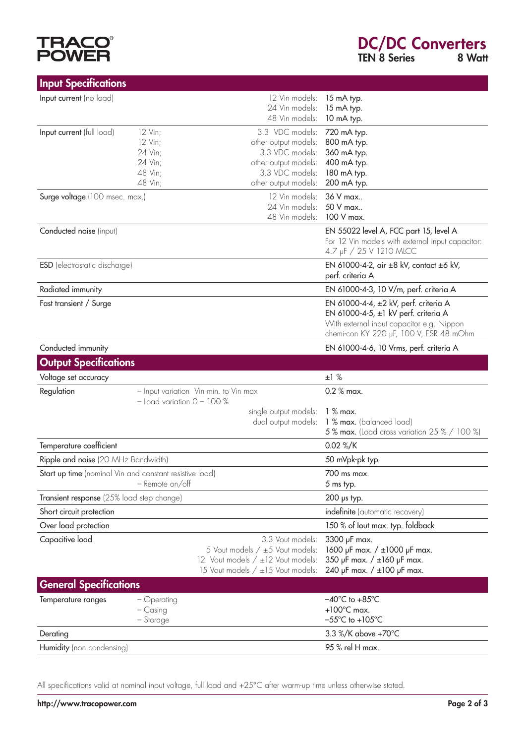

|                     | <b>DC/DC Converters</b> |        |
|---------------------|-------------------------|--------|
| <b>TEN 8 Series</b> |                         | 8 Watt |

| <b>Input Specifications</b>                             |                                                                         |                                                                                                                               |                                                                                                                                                                       |
|---------------------------------------------------------|-------------------------------------------------------------------------|-------------------------------------------------------------------------------------------------------------------------------|-----------------------------------------------------------------------------------------------------------------------------------------------------------------------|
| Input current (no load)                                 |                                                                         | 12 Vin models:<br>24 Vin models:<br>48 Vin models:                                                                            | 15 mA typ.<br>15 mA typ.<br>10 mA typ.                                                                                                                                |
| Input current (full load)                               | 12 Vin;<br>12 Vin;<br>24 Vin;<br>24 Vin;<br>48 Vin;<br>48 Vin;          | 3.3 VDC models:<br>other output models:<br>3.3 VDC models:<br>other output models:<br>3.3 VDC models:<br>other output models: | 720 mA typ.<br>800 mA typ.<br>360 mA typ.<br>400 mA typ.<br>180 mA typ.<br>200 mA typ.                                                                                |
| Surge voltage (100 msec. max.)                          |                                                                         | 12 Vin models:<br>24 Vin models:<br>48 Vin models:                                                                            | 36 V max<br>50 V max<br>100 V max.                                                                                                                                    |
| Conducted noise (input)                                 |                                                                         |                                                                                                                               | EN 55022 level A, FCC part 15, level A<br>For 12 Vin models with external input capacitor:<br>4.7 µF / 25 V 1210 MLCC                                                 |
| <b>ESD</b> (electrostatic discharge)                    |                                                                         |                                                                                                                               | EN 61000-4-2, air ±8 kV, contact ±6 kV,<br>perf. criteria A                                                                                                           |
| Radiated immunity                                       |                                                                         |                                                                                                                               | EN 61000-4-3, 10 V/m, perf. criteria A                                                                                                                                |
| Fast transient / Surge                                  |                                                                         |                                                                                                                               | EN 61000-4-4, ±2 kV, perf. criteria A<br>EN 61000-4-5, ±1 kV perf. criteria A<br>With external input capacitor e.g. Nippon<br>chemi-con KY 220 µF, 100 V, ESR 48 mOhm |
| Conducted immunity                                      |                                                                         |                                                                                                                               | EN 61000-4-6, 10 Vrms, perf. criteria A                                                                                                                               |
| <b>Output Specifications</b>                            |                                                                         |                                                                                                                               |                                                                                                                                                                       |
|                                                         |                                                                         |                                                                                                                               |                                                                                                                                                                       |
| Voltage set accuracy                                    |                                                                         |                                                                                                                               | ±1%                                                                                                                                                                   |
| Regulation                                              | - Input variation Vin min. to Vin max<br>$-$ Load variation $0 - 100$ % |                                                                                                                               | $0.2 %$ max.                                                                                                                                                          |
|                                                         |                                                                         | single output models:<br>dual output models:                                                                                  | $1%$ max.<br>1 % max. (balanced load)<br>5% max. (Load cross variation 25% / 100%)                                                                                    |
| Temperature coefficient                                 |                                                                         |                                                                                                                               | 0.02 %/K                                                                                                                                                              |
| Ripple and noise (20 MHz Bandwidth)                     |                                                                         |                                                                                                                               | 50 mVpk-pk typ.                                                                                                                                                       |
| Start up time (nominal Vin and constant resistive load) | - Remote on/off                                                         |                                                                                                                               | 700 ms max.<br>5 ms typ.                                                                                                                                              |
| Transient response (25% load step change)               |                                                                         |                                                                                                                               | $200$ µs typ.                                                                                                                                                         |
| Short circuit protection                                |                                                                         |                                                                                                                               | indefinite (automatic recovery)                                                                                                                                       |
| Over load protection                                    |                                                                         |                                                                                                                               | 150 % of lout max. typ. foldback                                                                                                                                      |
| Capacitive load                                         |                                                                         | 3.3 Vout models:<br>5 Vout models / ±5 Vout models:<br>12 Vout models / ±12 Vout models:<br>15 Vout models / ±15 Vout models: | 3300 µF max.<br>1600 µF max. / ±1000 µF max.<br>350 µF max. / ±160 µF max.<br>240 µF max. $/ \pm 100$ µF max.                                                         |
| <b>General Specifications</b>                           |                                                                         |                                                                                                                               |                                                                                                                                                                       |
| Temperature ranges                                      | - Operating<br>$-$ Casing<br>- Storage                                  |                                                                                                                               | $-40^{\circ}$ C to $+85^{\circ}$ C<br>$+100^{\circ}$ C max.<br>$-55^{\circ}$ C to $+105^{\circ}$ C                                                                    |
| Derating                                                |                                                                         |                                                                                                                               | 3.3 %/K above +70°C                                                                                                                                                   |

All specifications valid at nominal input voltage, full load and +25°C after warm-up time unless otherwise stated.